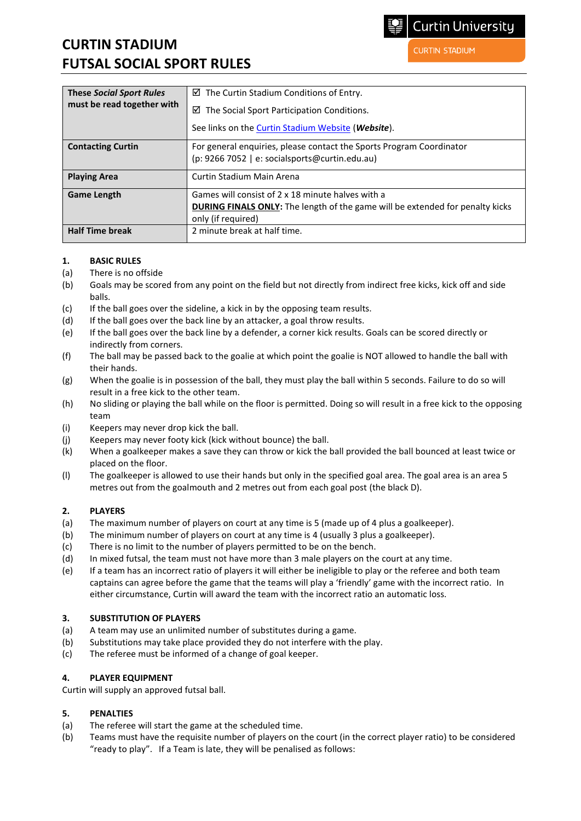# **CURTIN STADIUM FUTSAL SOCIAL SPORT RULES**

**CURTIN STADIUM** 

| <b>These Social Sport Rules</b><br>must be read together with | $\boxtimes$ The Curtin Stadium Conditions of Entry.                                  |
|---------------------------------------------------------------|--------------------------------------------------------------------------------------|
|                                                               | ☑<br>The Social Sport Participation Conditions.                                      |
|                                                               | See links on the Curtin Stadium Website (Website).                                   |
| <b>Contacting Curtin</b>                                      | For general enquiries, please contact the Sports Program Coordinator                 |
|                                                               | (p: 9266 7052   e: socialsports@curtin.edu.au)                                       |
| <b>Playing Area</b>                                           | Curtin Stadium Main Arena                                                            |
| <b>Game Length</b>                                            | Games will consist of 2 x 18 minute halves with a                                    |
|                                                               | <b>DURING FINALS ONLY:</b> The length of the game will be extended for penalty kicks |
|                                                               | only (if required)                                                                   |
| <b>Half Time break</b>                                        | 2 minute break at half time.                                                         |

#### **1. BASIC RULES**

- (a) There is no offside
- (b) Goals may be scored from any point on the field but not directly from indirect free kicks, kick off and side balls.
- (c) If the ball goes over the sideline, a kick in by the opposing team results.
- (d) If the ball goes over the back line by an attacker, a goal throw results.
- (e) If the ball goes over the back line by a defender, a corner kick results. Goals can be scored directly or indirectly from corners.
- (f) The ball may be passed back to the goalie at which point the goalie is NOT allowed to handle the ball with their hands.
- (g) When the goalie is in possession of the ball, they must play the ball within 5 seconds. Failure to do so will result in a free kick to the other team.
- (h) No sliding or playing the ball while on the floor is permitted. Doing so will result in a free kick to the opposing team
- (i) Keepers may never drop kick the ball.
- (j) Keepers may never footy kick (kick without bounce) the ball.
- (k) When a goalkeeper makes a save they can throw or kick the ball provided the ball bounced at least twice or placed on the floor.
- (l) The goalkeeper is allowed to use their hands but only in the specified goal area. The goal area is an area 5 metres out from the goalmouth and 2 metres out from each goal post (the black D).

#### **2. PLAYERS**

- (a) The maximum number of players on court at any time is 5 (made up of 4 plus a goalkeeper).
- (b) The minimum number of players on court at any time is 4 (usually 3 plus a goalkeeper).
- (c) There is no limit to the number of players permitted to be on the bench.
- (d) In mixed futsal, the team must not have more than 3 male players on the court at any time.
- (e) If a team has an incorrect ratio of players it will either be ineligible to play or the referee and both team captains can agree before the game that the teams will play a 'friendly' game with the incorrect ratio. In either circumstance, Curtin will award the team with the incorrect ratio an automatic loss.

#### **3. SUBSTITUTION OF PLAYERS**

- (a) A team may use an unlimited number of substitutes during a game.
- (b) Substitutions may take place provided they do not interfere with the play.
- (c) The referee must be informed of a change of goal keeper.

## **4. PLAYER EQUIPMENT**

Curtin will supply an approved futsal ball.

## **5. PENALTIES**

- (a) The referee will start the game at the scheduled time.
- (b) Teams must have the requisite number of players on the court (in the correct player ratio) to be considered "ready to play". If a Team is late, they will be penalised as follows: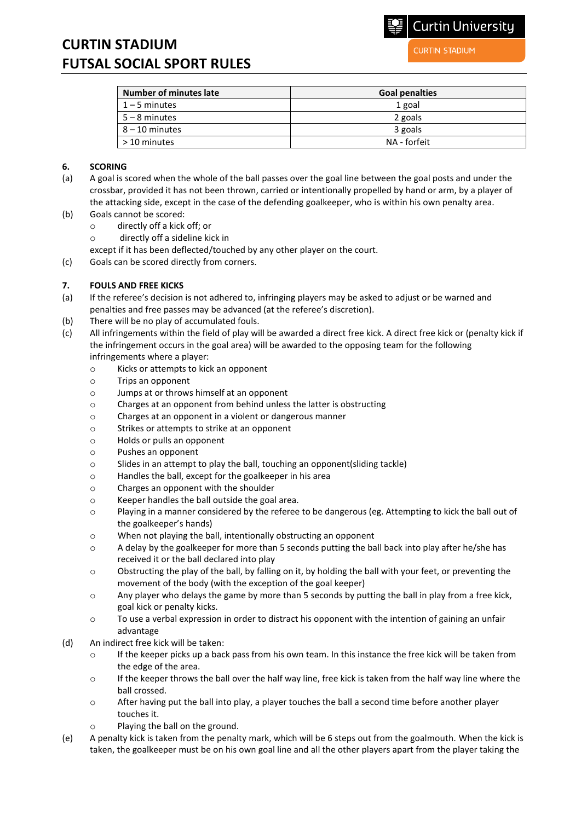# **CURTIN STADIUM FUTSAL SOCIAL SPORT RULES**

**CURTIN STADIUM** 

**Curtin University** 

| <b>Number of minutes late</b> | <b>Goal penalties</b> |
|-------------------------------|-----------------------|
| $1 - 5$ minutes               | 1 goal                |
| $5 - 8$ minutes               | 2 goals               |
| $8 - 10$ minutes              | 3 goals               |
| > 10 minutes                  | NA - forfeit          |

#### **6. SCORING**

- (a) A goal is scored when the whole of the ball passes over the goal line between the goal posts and under the crossbar, provided it has not been thrown, carried or intentionally propelled by hand or arm, by a player of the attacking side, except in the case of the defending goalkeeper, who is within his own penalty area.
- (b) Goals cannot be scored:
	- o directly off a kick off; or
	- o directly off a sideline kick in
	- except if it has been deflected/touched by any other player on the court.
- (c) Goals can be scored directly from corners.

## **7. FOULS AND FREE KICKS**

- (a) If the referee's decision is not adhered to, infringing players may be asked to adjust or be warned and penalties and free passes may be advanced (at the referee's discretion).
- (b) There will be no play of accumulated fouls.
- (c) All infringements within the field of play will be awarded a direct free kick. A direct free kick or (penalty kick if the infringement occurs in the goal area) will be awarded to the opposing team for the following infringements where a player:
	- o Kicks or attempts to kick an opponent
	- o Trips an opponent
	- o Jumps at or throws himself at an opponent
	- o Charges at an opponent from behind unless the latter is obstructing
	- o Charges at an opponent in a violent or dangerous manner
	- o Strikes or attempts to strike at an opponent
	- o Holds or pulls an opponent
	- o Pushes an opponent
	- o Slides in an attempt to play the ball, touching an opponent(sliding tackle)
	- o Handles the ball, except for the goalkeeper in his area
	- o Charges an opponent with the shoulder
	- o Keeper handles the ball outside the goal area.
	- o Playing in a manner considered by the referee to be dangerous (eg. Attempting to kick the ball out of the goalkeeper's hands)
	- o When not playing the ball, intentionally obstructing an opponent
	- o A delay by the goalkeeper for more than 5 seconds putting the ball back into play after he/she has received it or the ball declared into play
	- $\circ$  Obstructing the play of the ball, by falling on it, by holding the ball with your feet, or preventing the movement of the body (with the exception of the goal keeper)
	- $\circ$  Any player who delays the game by more than 5 seconds by putting the ball in play from a free kick, goal kick or penalty kicks.
	- o To use a verbal expression in order to distract his opponent with the intention of gaining an unfair advantage
- (d) An indirect free kick will be taken:
	- $\circ$  If the keeper picks up a back pass from his own team. In this instance the free kick will be taken from the edge of the area.
	- $\circ$  If the keeper throws the ball over the half way line, free kick is taken from the half way line where the ball crossed.
	- o After having put the ball into play, a player touches the ball a second time before another player touches it.
	- o Playing the ball on the ground.
- (e) A penalty kick is taken from the penalty mark, which will be 6 steps out from the goalmouth. When the kick is taken, the goalkeeper must be on his own goal line and all the other players apart from the player taking the